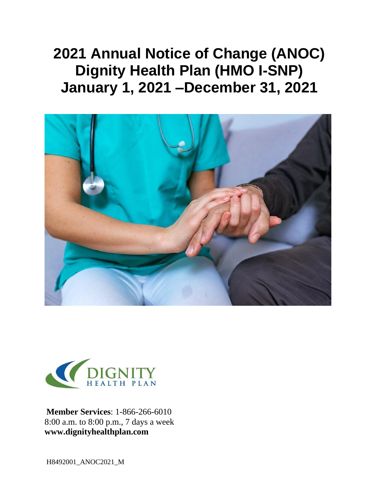# **2021 Annual Notice of Change (ANOC) Dignity Health Plan (HMO I-SNP) January 1, 2021 –December 31, 2021**





**Member Services**: 1-866-266-6010 8:00 a.m. to 8:00 p.m., 7 days a week **[www.dignityhealthplan.com](http://www.dignityhealthplan.com/)**

H8492001\_ANOC2021\_M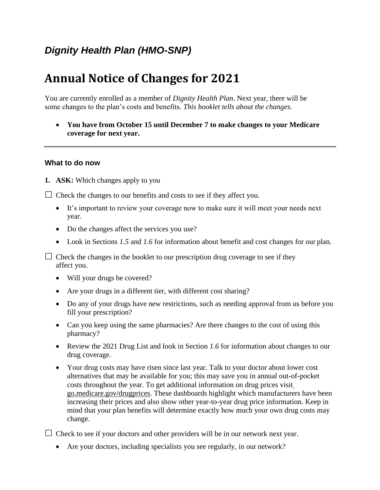## *Dignity Health Plan (HMO-SNP)*

## **Annual Notice of Changes for 2021**

You are currently enrolled as a member of *Dignity Health Plan*. Next year, there will be some changes to the plan's costs and benefits*. This booklet tells about the changes.*

• **You have from October 15 until December 7 to make changes to your Medicare coverage for next year.**

#### **What to do now**

**1. ASK:** Which changes apply to you

 $\Box$  Check the changes to our benefits and costs to see if they affect you.

- It's important to review your coverage now to make sure it will meet your needs next year.
- Do the changes affect the services you use?
- Look in Sections *1.5* and *1.6* for information about benefit and cost changes for our plan.

 $\Box$  Check the changes in the booklet to our prescription drug coverage to see if they affect you.

- Will your drugs be covered?
- Are your drugs in a different tier, with different cost sharing?
- Do any of your drugs have new restrictions, such as needing approval from us before you fill your prescription?
- Can you keep using the same pharmacies? Are there changes to the cost of using this pharmacy?
- Review the 2021 Drug List and look in Section *1.6* for information about changes to our drug coverage.
- Your drug costs may have risen since last year. Talk to your doctor about lower cost alternatives that may be available for you; this may save you in annual out-of-pocket costs throughout the year. To get additional information on drug prices visi[t](https://go.medicare.gov/drugprices) [go.medicare.gov/drugprices.](https://go.medicare.gov/drugprices) These dashboards highlight which manufacturers have been increasing their prices and also show other year-to-year drug price information. Keep in mind that your plan benefits will determine exactly how much your own drug costs may change.

 $\Box$  Check to see if your doctors and other providers will be in our network next year.

• Are your doctors, including specialists you see regularly, in our network?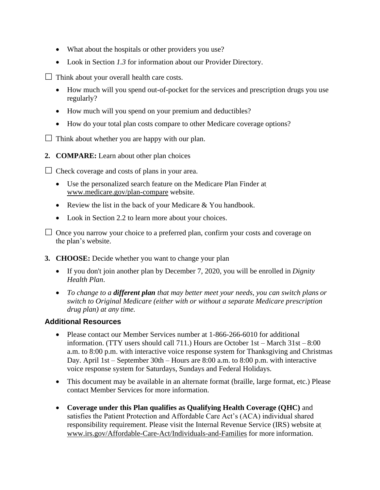- What about the hospitals or other providers you use?
- Look in Section *1.3* for information about our Provider Directory.

 $\Box$  Think about your overall health care costs.

- How much will you spend out-of-pocket for the services and prescription drugs you use regularly?
- How much will you spend on your premium and deductibles?
- How do your total plan costs compare to other Medicare coverage options?

 $\Box$  Think about whether you are happy with our plan.

**2. COMPARE:** Learn about other plan choices

 $\Box$  Check coverage and costs of plans in your area.

- Use the personalized search feature on the Medicare Plan Finder at [www.medicare.gov/plan-compare](http://www.medicare.gov/plan-compare) website.
- Review the list in the back of your Medicare & You handbook.
- Look in Section 2.2 to learn more about your choices.
- $\Box$  Once you narrow your choice to a preferred plan, confirm your costs and coverage on the plan's website.
- **3. CHOOSE:** Decide whether you want to change your plan
	- If you don't join another plan by December 7, 2020, you will be enrolled in *Dignity Health Plan*.
	- *To change to a different plan that may better meet your needs, you can switch plans or switch to Original Medicare (either with or without a separate Medicare prescription drug plan) at any time.*

#### **Additional Resources**

- Please contact our Member Services number at 1-866-266-6010 for additional information. (TTY users should call 711.) Hours are October 1st – March 31st – 8:00 a.m. to 8:00 p.m. with interactive voice response system for Thanksgiving and Christmas Day. April 1st – September 30th – Hours are 8:00 a.m. to 8:00 p.m. with interactive voice response system for Saturdays, Sundays and Federal Holidays.
- This document may be available in an alternate format (braille, large format, etc.) Please contact Member Services for more information.
- **Coverage under this Plan qualifies as Qualifying Health Coverage (QHC)** and satisfies the Patient Protection and Affordable Care Act's (ACA) individual shared responsibility requirement. Please visit the Internal Revenue Service (IRS) website at [www.irs.gov/Affordable-Care-Act/Individuals-and-Families](http://www.irs.gov/Affordable-Care-Act/Individuals-and-Families) for more information.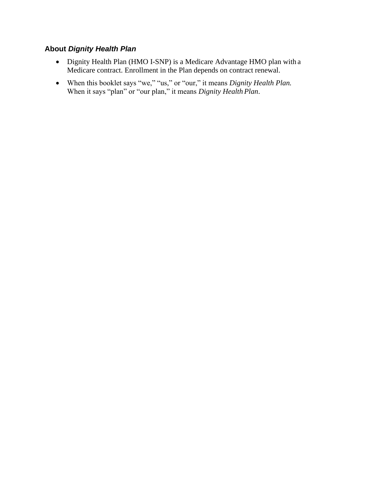#### **About** *Dignity Health Plan*

- Dignity Health Plan (HMO I-SNP) is a Medicare Advantage HMO plan with a Medicare contract. Enrollment in the Plan depends on contract renewal.
- When this booklet says "we," "us," or "our," it means *Dignity Health Plan.*  When it says "plan" or "our plan," it means *Dignity Health Plan*.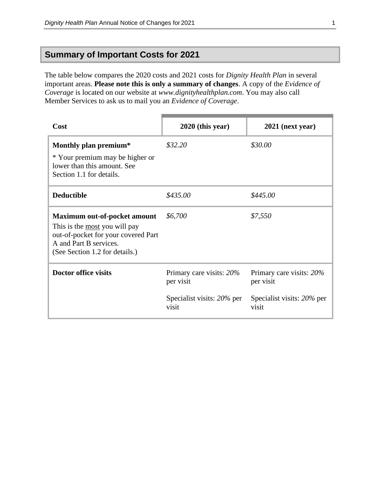## **Summary of Important Costs for 2021**

The table below compares the 2020 costs and 2021 costs for *Dignity Health Plan* in several important areas. **Please note this is only a summary of changes**. A copy of the *Evidence of Coverage* is located on our website at *[www.dignityhealthplan.com](http://www.valorhealthplan.com/)*. You may also call Member Services to ask us to mail you an *Evidence of Coverage*.

| Cost                                                                                                                                                                    | $2020$ (this year)                                                           | $2021$ (next year)                                                           |
|-------------------------------------------------------------------------------------------------------------------------------------------------------------------------|------------------------------------------------------------------------------|------------------------------------------------------------------------------|
| Monthly plan premium*<br>* Your premium may be higher or<br>lower than this amount. See<br>Section 1.1 for details.                                                     | \$32.20                                                                      | \$30.00                                                                      |
| <b>Deductible</b>                                                                                                                                                       | \$435.00                                                                     | \$445.00                                                                     |
| Maximum out-of-pocket amount<br>This is the <u>most</u> you will pay<br>out-of-pocket for your covered Part<br>A and Part B services.<br>(See Section 1.2 for details.) | \$6,700                                                                      | \$7,550                                                                      |
| <b>Doctor office visits</b>                                                                                                                                             | Primary care visits: 20%<br>per visit<br>Specialist visits: 20% per<br>visit | Primary care visits: 20%<br>per visit<br>Specialist visits: 20% per<br>visit |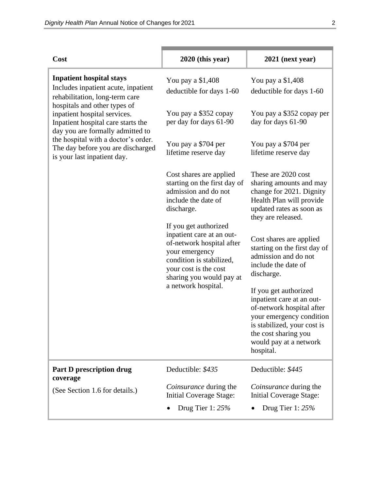| Cost                                                                                                                                     | $2020$ (this year)                                                                                                                                                                 | 2021 (next year)                                                                                                                                                                                          |
|------------------------------------------------------------------------------------------------------------------------------------------|------------------------------------------------------------------------------------------------------------------------------------------------------------------------------------|-----------------------------------------------------------------------------------------------------------------------------------------------------------------------------------------------------------|
| <b>Inpatient hospital stays</b><br>Includes inpatient acute, inpatient<br>rehabilitation, long-term care<br>hospitals and other types of | You pay a \$1,408<br>deductible for days 1-60                                                                                                                                      | You pay a \$1,408<br>deductible for days 1-60                                                                                                                                                             |
| inpatient hospital services.<br>Inpatient hospital care starts the<br>day you are formally admitted to                                   | You pay a \$352 copay<br>per day for days 61-90                                                                                                                                    | You pay a \$352 copay per<br>day for days 61-90                                                                                                                                                           |
| the hospital with a doctor's order.<br>The day before you are discharged<br>is your last inpatient day.                                  | You pay a \$704 per<br>lifetime reserve day                                                                                                                                        | You pay a \$704 per<br>lifetime reserve day                                                                                                                                                               |
|                                                                                                                                          | Cost shares are applied<br>starting on the first day of<br>admission and do not<br>include the date of<br>discharge.                                                               | These are 2020 cost<br>sharing amounts and may<br>change for 2021. Dignity<br>Health Plan will provide<br>updated rates as soon as<br>they are released.                                                  |
|                                                                                                                                          | If you get authorized<br>inpatient care at an out-<br>of-network hospital after<br>your emergency<br>condition is stabilized,<br>your cost is the cost<br>sharing you would pay at | Cost shares are applied<br>starting on the first day of<br>admission and do not<br>include the date of<br>discharge.                                                                                      |
|                                                                                                                                          | a network hospital.                                                                                                                                                                | If you get authorized<br>inpatient care at an out-<br>of-network hospital after<br>your emergency condition<br>is stabilized, your cost is<br>the cost sharing you<br>would pay at a network<br>hospital. |
| Part D prescription drug<br>coverage                                                                                                     | Deductible: \$435                                                                                                                                                                  | Deductible: \$445                                                                                                                                                                                         |
| (See Section 1.6 for details.)                                                                                                           | Coinsurance during the<br>Initial Coverage Stage:                                                                                                                                  | <i>Coinsurance</i> during the<br><b>Initial Coverage Stage:</b>                                                                                                                                           |
|                                                                                                                                          | Drug Tier 1: $25%$                                                                                                                                                                 | Drug Tier 1: $25%$                                                                                                                                                                                        |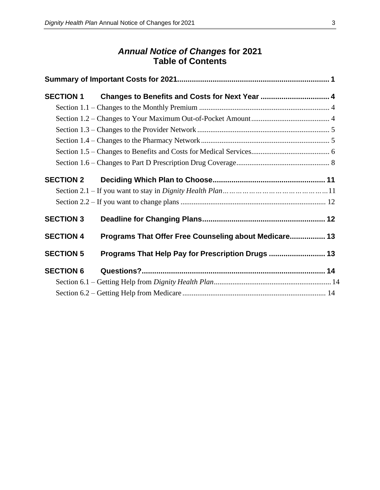## *Annual Notice of Changes* **for 2021 Table of Contents**

| <b>SECTION 1</b> |                                                       |  |
|------------------|-------------------------------------------------------|--|
|                  |                                                       |  |
|                  |                                                       |  |
|                  |                                                       |  |
|                  |                                                       |  |
|                  |                                                       |  |
|                  |                                                       |  |
| <b>SECTION 2</b> |                                                       |  |
|                  |                                                       |  |
|                  |                                                       |  |
| <b>SECTION 3</b> |                                                       |  |
| <b>SECTION 4</b> | Programs That Offer Free Counseling about Medicare 13 |  |
| <b>SECTION 5</b> | Programs That Help Pay for Prescription Drugs  13     |  |
| <b>SECTION 6</b> |                                                       |  |
|                  |                                                       |  |
|                  |                                                       |  |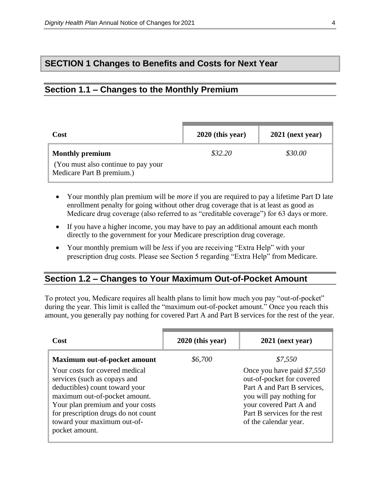## **SECTION 1 Changes to Benefits and Costs for Next Year**

## <span id="page-7-0"></span>**Section 1.1 – Changes to the Monthly Premium**

| <b>Cost</b>                                                                                | $2020$ (this year) | $2021$ (next year) |
|--------------------------------------------------------------------------------------------|--------------------|--------------------|
| <b>Monthly premium</b><br>(You must also continue to pay your<br>Medicare Part B premium.) | \$32.20            | \$30.00            |

- Your monthly plan premium will be *more* if you are required to pay a lifetime Part D late enrollment penalty for going without other drug coverage that is at least as good as Medicare drug coverage (also referred to as "creditable coverage") for 63 days or more.
- If you have a higher income, you may have to pay an additional amount each month directly to the government for your Medicare prescription drug coverage.
- Your monthly premium will be *less* if you are receiving "Extra Help" with your prescription drug costs. Please see Section 5 regarding "Extra Help" from Medicare.

## <span id="page-7-1"></span>**Section 1.2 – Changes to Your Maximum Out-of-Pocket Amount**

To protect you, Medicare requires all health plans to limit how much you pay "out-of-pocket" during the year. This limit is called the "maximum out-of-pocket amount." Once you reach this amount, you generally pay nothing for covered Part A and Part B services for the rest of the year.

| Cost                                                                                                                                                                                                                                                          | $2020$ (this year) | $2021$ (next year)                                                                                                                                                                                     |
|---------------------------------------------------------------------------------------------------------------------------------------------------------------------------------------------------------------------------------------------------------------|--------------------|--------------------------------------------------------------------------------------------------------------------------------------------------------------------------------------------------------|
| <b>Maximum out-of-pocket amount</b>                                                                                                                                                                                                                           | \$6,700            | \$7,550                                                                                                                                                                                                |
| Your costs for covered medical<br>services (such as copays and<br>deductibles) count toward your<br>maximum out-of-pocket amount.<br>Your plan premium and your costs<br>for prescription drugs do not count<br>toward your maximum out-of-<br>pocket amount. |                    | Once you have paid \$7,550<br>out-of-pocket for covered<br>Part A and Part B services,<br>you will pay nothing for<br>your covered Part A and<br>Part B services for the rest<br>of the calendar year. |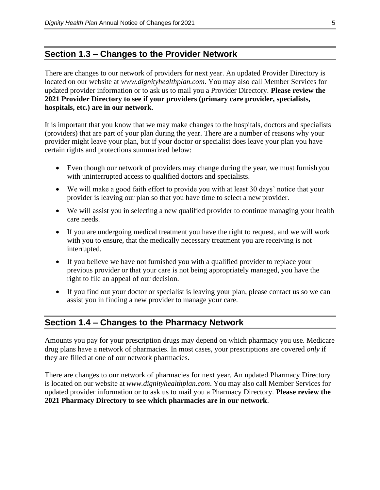### <span id="page-8-0"></span>**Section 1.3 – Changes to the Provider Network**

There are changes to our network of providers for next year. An updated Provider Directory is located on our website at *[www.dignityhealthplan.com](http://www.valorhealthplan.com/)*. You may also call Member Services for updated provider information or to ask us to mail you a Provider Directory. **Please review the 2021 Provider Directory to see if your providers (primary care provider, specialists, hospitals, etc.) are in our network**.

It is important that you know that we may make changes to the hospitals, doctors and specialists (providers) that are part of your plan during the year. There are a number of reasons why your provider might leave your plan, but if your doctor or specialist does leave your plan you have certain rights and protections summarized below:

- Even though our network of providers may change during the year, we must furnish you with uninterrupted access to qualified doctors and specialists.
- We will make a good faith effort to provide you with at least 30 days' notice that your provider is leaving our plan so that you have time to select a new provider.
- We will assist you in selecting a new qualified provider to continue managing your health care needs.
- If you are undergoing medical treatment you have the right to request, and we will work with you to ensure, that the medically necessary treatment you are receiving is not interrupted.
- If you believe we have not furnished you with a qualified provider to replace your previous provider or that your care is not being appropriately managed, you have the right to file an appeal of our decision.
- If you find out your doctor or specialist is leaving your plan, please contact us so we can assist you in finding a new provider to manage your care.

## <span id="page-8-1"></span>**Section 1.4 – Changes to the Pharmacy Network**

Amounts you pay for your prescription drugs may depend on which pharmacy you use. Medicare drug plans have a network of pharmacies. In most cases, your prescriptions are covered *only* if they are filled at one of our network pharmacies.

There are changes to our network of pharmacies for next year. An updated Pharmacy Directory is located on our website at *[www.dignityhealthplan.com](http://www.valorhealthplan.com/)*. You may also call Member Services for updated provider information or to ask us to mail you a Pharmacy Directory. **Please review the 2021 Pharmacy Directory to see which pharmacies are in our network**.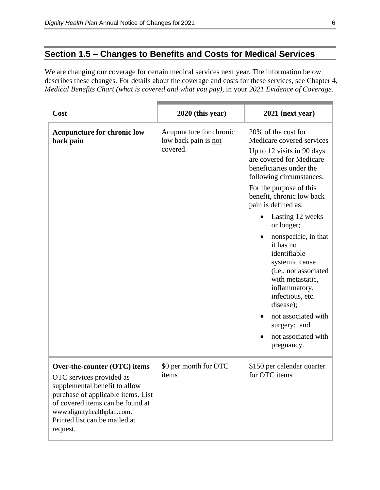## <span id="page-9-0"></span>**Section 1.5 – Changes to Benefits and Costs for Medical Services**

We are changing our coverage for certain medical services next year. The information below describes these changes. For details about the coverage and costs for these services, see Chapter 4, *Medical Benefits Chart (what is covered and what you pay)*, in your *2021 Evidence of Coverage.*

| Cost                                                                                                                                                                                                                                           | $2020$ (this year)                                          | 2021 (next year)                                                                                                                                                                                                                                                                 |
|------------------------------------------------------------------------------------------------------------------------------------------------------------------------------------------------------------------------------------------------|-------------------------------------------------------------|----------------------------------------------------------------------------------------------------------------------------------------------------------------------------------------------------------------------------------------------------------------------------------|
| <b>Acupuncture for chronic low</b><br>back pain                                                                                                                                                                                                | Acupuncture for chronic<br>low back pain is not<br>covered. | 20% of the cost for<br>Medicare covered services<br>Up to 12 visits in 90 days<br>are covered for Medicare<br>beneficiaries under the<br>following circumstances:<br>For the purpose of this<br>benefit, chronic low back<br>pain is defined as:                                 |
|                                                                                                                                                                                                                                                |                                                             | Lasting 12 weeks<br>or longer;<br>nonspecific, in that<br>it has no<br>identifiable<br>systemic cause<br>(i.e., not associated<br>with metastatic,<br>inflammatory,<br>infectious, etc.<br>disease);<br>not associated with<br>surgery; and<br>not associated with<br>pregnancy. |
| Over-the-counter (OTC) items<br>OTC services provided as<br>supplemental benefit to allow<br>purchase of applicable items. List<br>of covered items can be found at<br>www.dignityhealthplan.com.<br>Printed list can be mailed at<br>request. | \$0 per month for OTC<br>items                              | \$150 per calendar quarter<br>for OTC items                                                                                                                                                                                                                                      |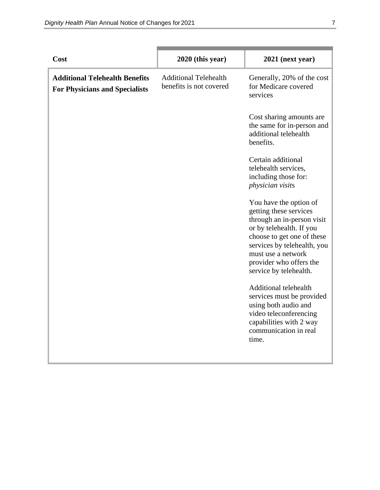| Cost                                                                           | $2020$ (this year)                                      | 2021 (next year)                                                                                                                                                                                                                                   |
|--------------------------------------------------------------------------------|---------------------------------------------------------|----------------------------------------------------------------------------------------------------------------------------------------------------------------------------------------------------------------------------------------------------|
| <b>Additional Telehealth Benefits</b><br><b>For Physicians and Specialists</b> | <b>Additional Telehealth</b><br>benefits is not covered | Generally, 20% of the cost<br>for Medicare covered<br>services                                                                                                                                                                                     |
|                                                                                |                                                         | Cost sharing amounts are<br>the same for in-person and<br>additional telehealth<br>benefits.                                                                                                                                                       |
|                                                                                |                                                         | Certain additional<br>telehealth services,<br>including those for:<br>physician visits                                                                                                                                                             |
|                                                                                |                                                         | You have the option of<br>getting these services<br>through an in-person visit<br>or by telehealth. If you<br>choose to get one of these<br>services by telehealth, you<br>must use a network<br>provider who offers the<br>service by telehealth. |
|                                                                                |                                                         | <b>Additional telehealth</b><br>services must be provided<br>using both audio and<br>video teleconferencing<br>capabilities with 2 way<br>communication in real<br>time.                                                                           |
|                                                                                |                                                         |                                                                                                                                                                                                                                                    |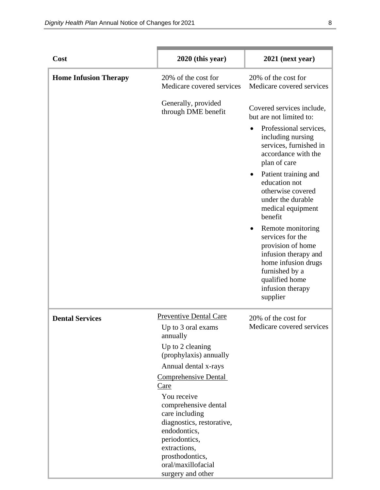| Cost                         | 2020 (this year)                                                                                                                                                                                  | 2021 (next year)                                                                                                                                                                           |
|------------------------------|---------------------------------------------------------------------------------------------------------------------------------------------------------------------------------------------------|--------------------------------------------------------------------------------------------------------------------------------------------------------------------------------------------|
| <b>Home Infusion Therapy</b> | 20% of the cost for<br>Medicare covered services                                                                                                                                                  | 20% of the cost for<br>Medicare covered services                                                                                                                                           |
|                              | Generally, provided<br>through DME benefit                                                                                                                                                        | Covered services include,<br>but are not limited to:                                                                                                                                       |
|                              |                                                                                                                                                                                                   | Professional services,<br>$\bullet$<br>including nursing<br>services, furnished in<br>accordance with the<br>plan of care                                                                  |
|                              |                                                                                                                                                                                                   | Patient training and<br>education not<br>otherwise covered<br>under the durable<br>medical equipment<br>benefit                                                                            |
|                              |                                                                                                                                                                                                   | Remote monitoring<br>$\bullet$<br>services for the<br>provision of home<br>infusion therapy and<br>home infusion drugs<br>furnished by a<br>qualified home<br>infusion therapy<br>supplier |
| <b>Dental Services</b>       | Preventive Dental Care<br>Up to 3 oral exams<br>annually                                                                                                                                          | 20% of the cost for<br>Medicare covered services                                                                                                                                           |
|                              | Up to 2 cleaning<br>(prophylaxis) annually                                                                                                                                                        |                                                                                                                                                                                            |
|                              | Annual dental x-rays                                                                                                                                                                              |                                                                                                                                                                                            |
|                              | <b>Comprehensive Dental</b><br><u>Care</u>                                                                                                                                                        |                                                                                                                                                                                            |
|                              | You receive<br>comprehensive dental<br>care including<br>diagnostics, restorative,<br>endodontics,<br>periodontics,<br>extractions,<br>prosthodontics,<br>oral/maxillofacial<br>surgery and other |                                                                                                                                                                                            |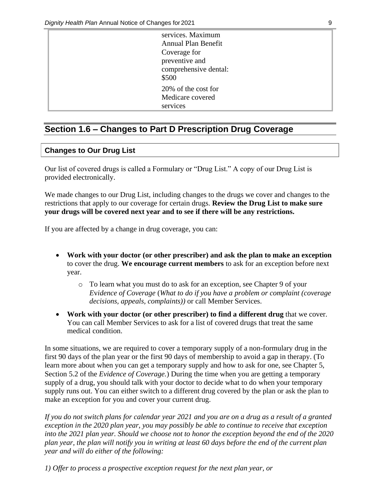| services. Maximum     |
|-----------------------|
| Annual Plan Benefit   |
| Coverage for          |
| preventive and        |
| comprehensive dental: |
| \$500                 |
| 20% of the cost for   |
| Medicare covered      |
| services              |

## <span id="page-12-0"></span>**Section 1.6 – Changes to Part D Prescription Drug Coverage**

#### **Changes to Our Drug List**

Our list of covered drugs is called a Formulary or "Drug List." A copy of our Drug List is provided electronically.

We made changes to our Drug List, including changes to the drugs we cover and changes to the restrictions that apply to our coverage for certain drugs. **Review the Drug List to make sure your drugs will be covered next year and to see if there will be any restrictions.**

If you are affected by a change in drug coverage, you can:

- **Work with your doctor (or other prescriber) and ask the plan to make an exception**  to cover the drug. **We encourage current members** to ask for an exception before next year.
	- o To learn what you must do to ask for an exception, see Chapter 9 of your *E*v*idence of Coverage* (*What to do if you have a problem or complaint (coverage decisions, appeals, complaints))* or call Member Services.
- **Work with your doctor (or other prescriber) to find a different drug** that we cover. You can call Member Services to ask for a list of covered drugs that treat the same medical condition.

In some situations, we are required to cover a temporary supply of a non-formulary drug in the first 90 days of the plan year or the first 90 days of membership to avoid a gap in therapy. (To learn more about when you can get a temporary supply and how to ask for one, see Chapter 5, Section 5.2 of the *Evidence of Coverage.*) During the time when you are getting a temporary supply of a drug, you should talk with your doctor to decide what to do when your temporary supply runs out. You can either switch to a different drug covered by the plan or ask the plan to make an exception for you and cover your current drug.

*If you do not switch plans for calendar year 2021 and you are on a drug as a result of a granted exception in the 2020 plan year, you may possibly be able to continue to receive that exception into the 2021 plan year. Should we choose not to honor the exception beyond the end of the 2020 plan year, the plan will notify you in writing at least 60 days before the end of the current plan year and will do either of the following:*

*1) Offer to process a prospective exception request for the next plan year, or*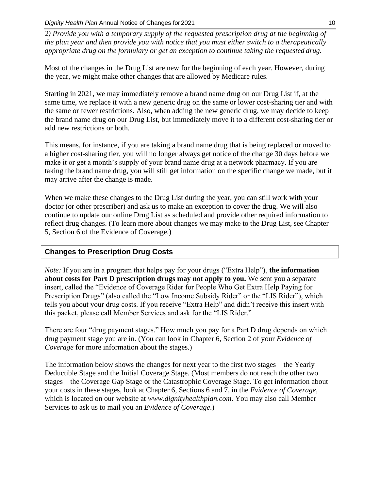*2) Provide you with a temporary supply of the requested prescription drug at the beginning of the plan year and then provide you with notice that you must either switch to a therapeutically appropriate drug on the formulary or get an exception to continue taking the requested drug.*

Most of the changes in the Drug List are new for the beginning of each year. However, during the year, we might make other changes that are allowed by Medicare rules.

Starting in 2021, we may immediately remove a brand name drug on our Drug List if, at the same time, we replace it with a new generic drug on the same or lower cost-sharing tier and with the same or fewer restrictions. Also, when adding the new generic drug, we may decide to keep the brand name drug on our Drug List, but immediately move it to a different cost-sharing tier or add new restrictions or both.

This means, for instance, if you are taking a brand name drug that is being replaced or moved to a higher cost-sharing tier, you will no longer always get notice of the change 30 days before we make it or get a month's supply of your brand name drug at a network pharmacy. If you are taking the brand name drug, you will still get information on the specific change we made, but it may arrive after the change is made.

When we make these changes to the Drug List during the year, you can still work with your doctor (or other prescriber) and ask us to make an exception to cover the drug. We will also continue to update our online Drug List as scheduled and provide other required information to reflect drug changes. (To learn more about changes we may make to the Drug List, see Chapter 5, Section 6 of the Evidence of Coverage.)

## **Changes to Prescription Drug Costs**

*Note:* If you are in a program that helps pay for your drugs ("Extra Help"), **the information about costs for Part D prescription drugs may not apply to you.** We sent you a separate insert, called the "Evidence of Coverage Rider for People Who Get Extra Help Paying for Prescription Drugs" (also called the "Low Income Subsidy Rider" or the "LIS Rider"), which tells you about your drug costs. If you receive "Extra Help" and didn't receive this insert with this packet, please call Member Services and ask for the "LIS Rider."

There are four "drug payment stages." How much you pay for a Part D drug depends on which drug payment stage you are in. (You can look in Chapter 6, Section 2 of your *Evidence of Coverage* for more information about the stages.)

The information below shows the changes for next year to the first two stages – the Yearly Deductible Stage and the Initial Coverage Stage. (Most members do not reach the other two stages – the Coverage Gap Stage or the Catastrophic Coverage Stage. To get information about your costs in these stages, look at Chapter 6, Sections 6 and 7, in the *Evidence of Coverage*, which is located on our website at *[www.dignityhealthplan.com](http://www.valorhealthplan.com/)*. You may also call Member Services to ask us to mail you an *Evidence of Coverage*.)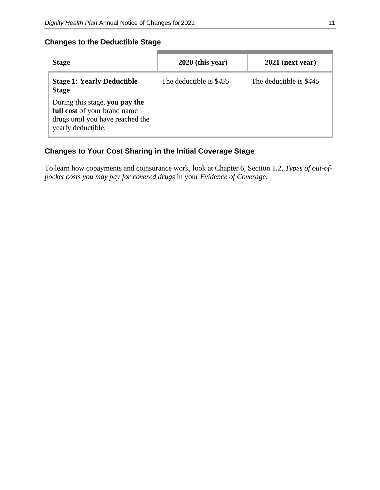#### **Changes to the Deductible Stage**

| <b>Stage</b>                                                                                                             | $2020$ (this year)      | $2021$ (next year)      |
|--------------------------------------------------------------------------------------------------------------------------|-------------------------|-------------------------|
| <b>Stage 1: Yearly Deductible</b><br><b>Stage</b>                                                                        | The deductible is \$435 | The deductible is \$445 |
| During this stage, you pay the<br>full cost of your brand name<br>drugs until you have reached the<br>yearly deductible. |                         |                         |

## **Changes to Your Cost Sharing in the Initial Coverage Stage**

To learn how copayments and coinsurance work, look at Chapter 6, Section 1.2, *Types of out-ofpocket costs you may pay for covered drugs* in your *Evidence of Coverage*.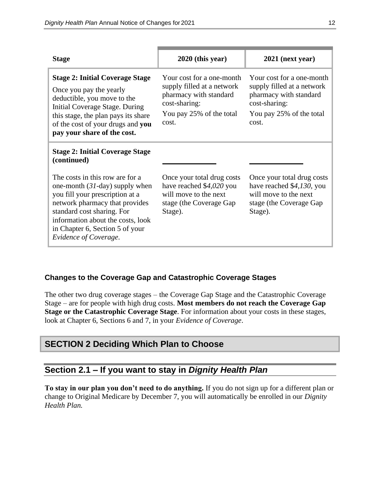| <b>Stage</b>                                                                                                                                                                                                                                                             | 2020 (this year)                                                                                                                        | 2021 (next year)                                                                                                                        |
|--------------------------------------------------------------------------------------------------------------------------------------------------------------------------------------------------------------------------------------------------------------------------|-----------------------------------------------------------------------------------------------------------------------------------------|-----------------------------------------------------------------------------------------------------------------------------------------|
| <b>Stage 2: Initial Coverage Stage</b><br>Once you pay the yearly<br>deductible, you move to the<br>Initial Coverage Stage. During<br>this stage, the plan pays its share<br>of the cost of your drugs and you<br>pay your share of the cost.                            | Your cost for a one-month<br>supply filled at a network<br>pharmacy with standard<br>cost-sharing:<br>You pay 25% of the total<br>cost. | Your cost for a one-month<br>supply filled at a network<br>pharmacy with standard<br>cost-sharing:<br>You pay 25% of the total<br>cost. |
| <b>Stage 2: Initial Coverage Stage</b><br>(continued)                                                                                                                                                                                                                    |                                                                                                                                         |                                                                                                                                         |
| The costs in this row are for a<br>one-month $(31$ -day) supply when<br>you fill your prescription at a<br>network pharmacy that provides<br>standard cost sharing. For<br>information about the costs, look<br>in Chapter 6, Section 5 of your<br>Evidence of Coverage. | Once your total drug costs<br>have reached \$4,020 you<br>will move to the next<br>stage (the Coverage Gap<br>Stage).                   | Once your total drug costs<br>have reached \$4,130, you<br>will move to the next<br>stage (the Coverage Gap)<br>Stage).                 |

#### **Changes to the Coverage Gap and Catastrophic Coverage Stages**

The other two drug coverage stages – the Coverage Gap Stage and the Catastrophic Coverage Stage – are for people with high drug costs. **Most members do not reach the Coverage Gap Stage or the Catastrophic Coverage Stage**. For information about your costs in these stages, look at Chapter 6, Sections 6 and 7, in your *Evidence of Coverage*.

## **SECTION 2 Deciding Which Plan to Choose**

## **Section 2.1 – If you want to stay in** *Dignity Health Plan*

**To stay in our plan you don't need to do anything.** If you do not sign up for a different plan or change to Original Medicare by December 7, you will automatically be enrolled in our *Dignity Health Plan.*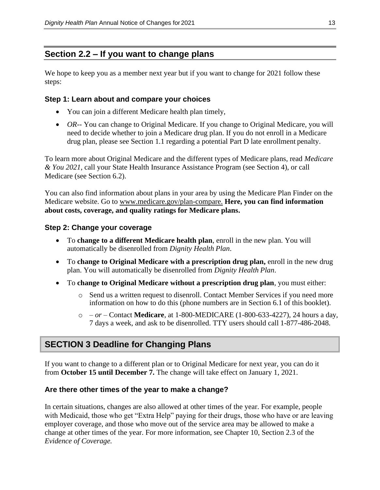## <span id="page-16-0"></span>**Section 2.2 – If you want to change plans**

We hope to keep you as a member next year but if you want to change for 2021 follow these steps:

#### **Step 1: Learn about and compare your choices**

- You can join a different Medicare health plan timely,
- *OR*-- You can change to Original Medicare. If you change to Original Medicare, you will need to decide whether to join a Medicare drug plan. If you do not enroll in a Medicare drug plan, please see Section 1.1 regarding a potential Part D late enrollment penalty.

To learn more about Original Medicare and the different types of Medicare plans, read *Medicare & You 2021*, call your State Health Insurance Assistance Program (see Section 4), or call Medicare (see Section 6.2).

You can also find information about plans in your area by using the Medicare Plan Finder on the Medicare website. Go to [www.medicare.gov/plan-compare.](http://www.medicare.gov/plan-compare) **Here, you can find information about costs, coverage, and quality ratings for Medicare plans.**

#### **Step 2: Change your coverage**

- To **change to a different Medicare health plan**, enroll in the new plan. You will automatically be disenrolled from *Dignity Health Plan*.
- To **change to Original Medicare with a prescription drug plan,** enroll in the new drug plan. You will automatically be disenrolled from *Dignity Health Plan*.
- To **change to Original Medicare without a prescription drug plan**, you must either:
	- o Send us a written request to disenroll. Contact Member Services if you need more information on how to do this (phone numbers are in Section 6.1 of this booklet).
	- o *– or –* Contact **Medicare**, at 1-800-MEDICARE (1-800-633-4227), 24 hours a day, 7 days a week, and ask to be disenrolled. TTY users should call 1-877-486-2048.

## **SECTION 3 Deadline for Changing Plans**

If you want to change to a different plan or to Original Medicare for next year, you can do it from **October 15 until December 7.** The change will take effect on January 1, 2021.

#### **Are there other times of the year to make a change?**

In certain situations, changes are also allowed at other times of the year. For example, people with Medicaid, those who get "Extra Help" paying for their drugs, those who have or are leaving employer coverage, and those who move out of the service area may be allowed to make a change at other times of the year. For more information, see Chapter 10, Section 2.3 of the *Evidence of Coverage.*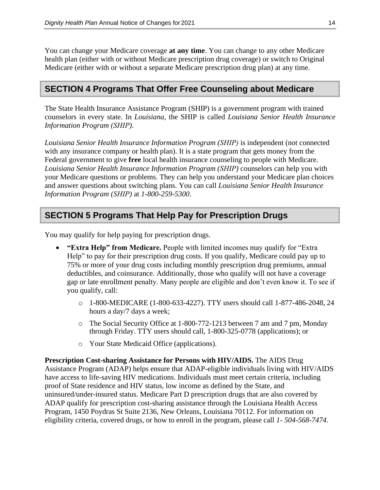You can change your Medicare coverage **at any time**. You can change to any other Medicare health plan (either with or without Medicare prescription drug coverage) or switch to Original Medicare (either with or without a separate Medicare prescription drug plan) at any time.

#### **SECTION 4 Programs That Offer Free Counseling about Medicare**

The State Health Insurance Assistance Program (SHIP) is a government program with trained counselors in every state. In *Louisiana*, the SHIP is called *Louisiana Senior Health Insurance Information Program (SHIP)*.

*Louisiana Senior Health Insurance Information Program (SHIP)* is independent (not connected with any insurance company or health plan). It is a state program that gets money from the Federal government to give **free** local health insurance counseling to people with Medicare. *Louisiana Senior Health Insurance Information Program (SHIP)* counselors can help you with your Medicare questions or problems. They can help you understand your Medicare plan choices and answer questions about switching plans. You can call *Louisiana Senior Health Insurance Information Program (SHIP)* at *1-800-259-5300*.

## **SECTION 5 Programs That Help Pay for Prescription Drugs**

You may qualify for help paying for prescription drugs.

- **"Extra Help" from Medicare.** People with limited incomes may qualify for "Extra Help" to pay for their prescription drug costs. If you qualify, Medicare could pay up to 75% or more of your drug costs including monthly prescription drug premiums, annual deductibles, and coinsurance. Additionally, those who qualify will not have a coverage gap or late enrollment penalty. Many people are eligible and don't even know it. To see if you qualify, call:
	- o 1-800-MEDICARE (1-800-633-4227). TTY users should call 1-877-486-2048, 24 hours a day/7 days a week;
	- o The Social Security Office at 1-800-772-1213 between 7 am and 7 pm, Monday through Friday. TTY users should call, 1-800-325-0778 (applications); or
	- o Your State Medicaid Office (applications).

**Prescription Cost-sharing Assistance for Persons with HIV/AIDS.** The AIDS Drug Assistance Program (ADAP) helps ensure that ADAP-eligible individuals living with HIV/AIDS have access to life-saving HIV medications. Individuals must meet certain criteria, including proof of State residence and HIV status, low income as defined by the State, and uninsured/under-insured status. Medicare Part D prescription drugs that are also covered by ADAP qualify for prescription cost-sharing assistance through the Louisiana Health Access Program, 1450 Poydras St Suite 2136, New Orleans, Louisiana 70112. For information on eligibility criteria, covered drugs, or how to enroll in the program, please call *1- 504-568-7474.*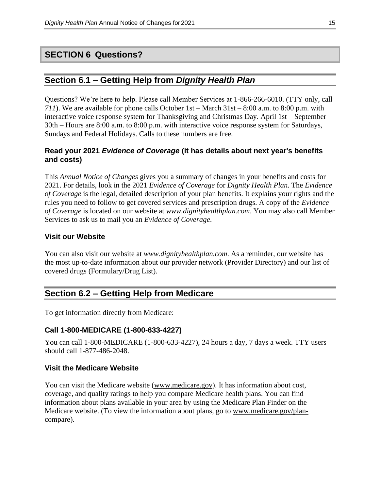## **SECTION 6 Questions?**

#### **Section 6.1 – Getting Help from** *Dignity Health Plan*

Questions? We're here to help. Please call Member Services at 1-866-266-6010. (TTY only, call *711*). We are available for phone calls October 1st – March 31st – 8:00 a.m. to 8:00 p.m. with interactive voice response system for Thanksgiving and Christmas Day. April 1st – September 30th – Hours are 8:00 a.m. to 8:00 p.m. with interactive voice response system for Saturdays, Sundays and Federal Holidays. Calls to these numbers are free.

#### **Read your 2021** *Evidence of Coverage* **(it has details about next year's benefits and costs)**

This *Annual Notice of Changes* gives you a summary of changes in your benefits and costs for 2021. For details, look in the 2021 *Evidence of Coverage* for *Dignity Health Plan.* The *Evidence of Coverage* is the legal, detailed description of your plan benefits. It explains your rights and the rules you need to follow to get covered services and prescription drugs. A copy of the *Evidence of Coverage* is located on our website at *[www.dignityhealthplan.com](http://www.valorhealthplan.com/)*. You may also call Member Services to ask us to mail you an *Evidence of Coverage*.

#### **Visit our Website**

You can also visit our website at *[www.dignityhealthplan.com](http://www.valorhealthplan.com/)*. As a reminder, our website has the most up-to-date information about our provider network (Provider Directory) and our list of covered drugs (Formulary/Drug List).

## <span id="page-18-0"></span>**Section 6.2 – Getting Help from Medicare**

To get information directly from Medicare:

#### **Call 1-800-MEDICARE (1-800-633-4227)**

You can call 1-800-MEDICARE (1-800-633-4227), 24 hours a day, 7 days a week. TTY users should call 1-877-486-2048.

#### **Visit the Medicare Website**

You can visit the Medicare website [\(www.medicare.gov\)](http://www.medicare.gov/). It has information about cost, coverage, and quality ratings to help you compare Medicare health plans. You can find information about plans available in your area by using the Medicare Plan Finder on the Medicare website. (To view the information about plans, go to [www.medicare.gov/plan](http://www.medicare.gov/plan-compare)[compare\)](http://www.medicare.gov/plan-compare).